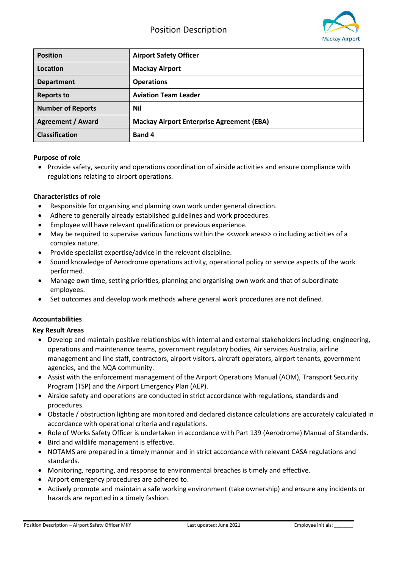

| <b>Position</b>          | <b>Airport Safety Officer</b>                    |
|--------------------------|--------------------------------------------------|
| Location                 | <b>Mackay Airport</b>                            |
| <b>Department</b>        | <b>Operations</b>                                |
| <b>Reports to</b>        | <b>Aviation Team Leader</b>                      |
| <b>Number of Reports</b> | Nil                                              |
| <b>Agreement / Award</b> | <b>Mackay Airport Enterprise Agreement (EBA)</b> |
| <b>Classification</b>    | Band 4                                           |

## **Purpose of role**

 Provide safety, security and operations coordination of airside activities and ensure compliance with regulations relating to airport operations.

## **Characteristics of role**

- Responsible for organising and planning own work under general direction.
- Adhere to generally already established guidelines and work procedures.
- Employee will have relevant qualification or previous experience.
- May be required to supervise various functions within the <<work area>> o including activities of a complex nature.
- Provide specialist expertise/advice in the relevant discipline.
- Sound knowledge of Aerodrome operations activity, operational policy or service aspects of the work performed.
- Manage own time, setting priorities, planning and organising own work and that of subordinate employees.
- Set outcomes and develop work methods where general work procedures are not defined.

#### **Accountabilities**

#### **Key Result Areas**

- Develop and maintain positive relationships with internal and external stakeholders including: engineering, operations and maintenance teams, government regulatory bodies, Air services Australia, airline management and line staff, contractors, airport visitors, aircraft operators, airport tenants, government agencies, and the NQA community.
- Assist with the enforcement management of the Airport Operations Manual (AOM), Transport Security Program (TSP) and the Airport Emergency Plan (AEP).
- Airside safety and operations are conducted in strict accordance with regulations, standards and procedures.
- Obstacle / obstruction lighting are monitored and declared distance calculations are accurately calculated in accordance with operational criteria and regulations.
- Role of Works Safety Officer is undertaken in accordance with Part 139 (Aerodrome) Manual of Standards.
- Bird and wildlife management is effective.
- NOTAMS are prepared in a timely manner and in strict accordance with relevant CASA regulations and standards.
- Monitoring, reporting, and response to environmental breaches is timely and effective.
- Airport emergency procedures are adhered to.
- Actively promote and maintain a safe working environment (take ownership) and ensure any incidents or hazards are reported in a timely fashion.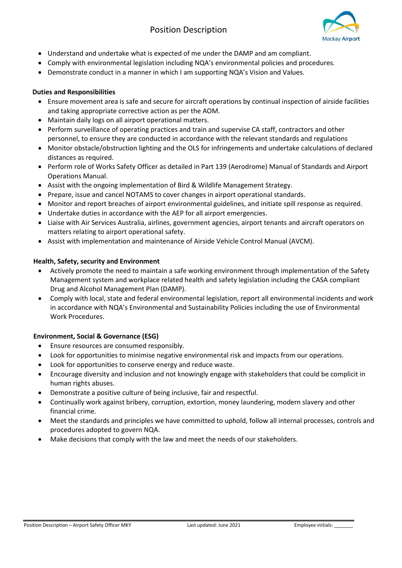

- Understand and undertake what is expected of me under the DAMP and am compliant.
- Comply with environmental legislation including NQA's environmental policies and procedures.
- Demonstrate conduct in a manner in which I am supporting NQA's Vision and Values.

## **Duties and Responsibilities**

- Ensure movement area is safe and secure for aircraft operations by continual inspection of airside facilities and taking appropriate corrective action as per the AOM.
- Maintain daily logs on all airport operational matters.
- Perform surveillance of operating practices and train and supervise CA staff, contractors and other personnel, to ensure they are conducted in accordance with the relevant standards and regulations
- Monitor obstacle/obstruction lighting and the OLS for infringements and undertake calculations of declared distances as required.
- Perform role of Works Safety Officer as detailed in Part 139 (Aerodrome) Manual of Standards and Airport Operations Manual.
- Assist with the ongoing implementation of Bird & Wildlife Management Strategy.
- Prepare, issue and cancel NOTAMS to cover changes in airport operational standards.
- Monitor and report breaches of airport environmental guidelines, and initiate spill response as required.
- Undertake duties in accordance with the AEP for all airport emergencies.
- Liaise with Air Services Australia, airlines, government agencies, airport tenants and aircraft operators on matters relating to airport operational safety.
- Assist with implementation and maintenance of Airside Vehicle Control Manual (AVCM).

# **Health, Safety, security and Environment**

- Actively promote the need to maintain a safe working environment through implementation of the Safety Management system and workplace related health and safety legislation including the CASA compliant Drug and Alcohol Management Plan (DAMP).
- Comply with local, state and federal environmental legislation, report all environmental incidents and work in accordance with NQA's Environmental and Sustainability Policies including the use of Environmental Work Procedures.

# **Environment, Social & Governance (ESG)**

- Ensure resources are consumed responsibly.
- Look for opportunities to minimise negative environmental risk and impacts from our operations.
- Look for opportunities to conserve energy and reduce waste.
- Encourage diversity and inclusion and not knowingly engage with stakeholders that could be complicit in human rights abuses.
- Demonstrate a positive culture of being inclusive, fair and respectful.
- Continually work against bribery, corruption, extortion, money laundering, modern slavery and other financial crime.
- Meet the standards and principles we have committed to uphold, follow all internal processes, controls and procedures adopted to govern NQA.
- Make decisions that comply with the law and meet the needs of our stakeholders.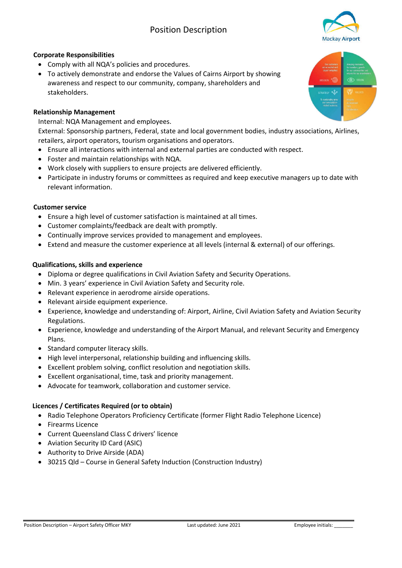# Position Description



## **Corporate Responsibilities**

- Comply with all NQA's policies and procedures.
- To actively demonstrate and endorse the Values of Cairns Airport by showing awareness and respect to our community, company, shareholders and stakeholders.

#### **Relationship Management**

Internal: NQA Management and employees. External: Sponsorship partners, Federal, state and local government bodies, industry associations, Airlines, retailers, airport operators, tourism organisations and operators.

- Ensure all interactions with internal and external parties are conducted with respect.
- Foster and maintain relationships with NQA.
- Work closely with suppliers to ensure projects are delivered efficiently.
- Participate in industry forums or committees as required and keep executive managers up to date with relevant information.

#### **Customer service**

- Ensure a high level of customer satisfaction is maintained at all times.
- Customer complaints/feedback are dealt with promptly.
- Continually improve services provided to management and employees.
- Extend and measure the customer experience at all levels (internal & external) of our offerings.

## **Qualifications, skills and experience**

- Diploma or degree qualifications in Civil Aviation Safety and Security Operations.
- Min. 3 years' experience in Civil Aviation Safety and Security role.
- Relevant experience in aerodrome airside operations.
- Relevant airside equipment experience.
- Experience, knowledge and understanding of: Airport, Airline, Civil Aviation Safety and Aviation Security Regulations.
- Experience, knowledge and understanding of the Airport Manual, and relevant Security and Emergency Plans.
- Standard computer literacy skills.
- High level interpersonal, relationship building and influencing skills.
- Excellent problem solving, conflict resolution and negotiation skills.
- Excellent organisational, time, task and priority management.
- Advocate for teamwork, collaboration and customer service.

# **Licences / Certificates Required (or to obtain)**

- Radio Telephone Operators Proficiency Certificate (former Flight Radio Telephone Licence)
- Firearms Licence
- Current Queensland Class C drivers' licence
- Aviation Security ID Card (ASIC)
- Authority to Drive Airside (ADA)
- 30215 Qld Course in General Safety Induction (Construction Industry)